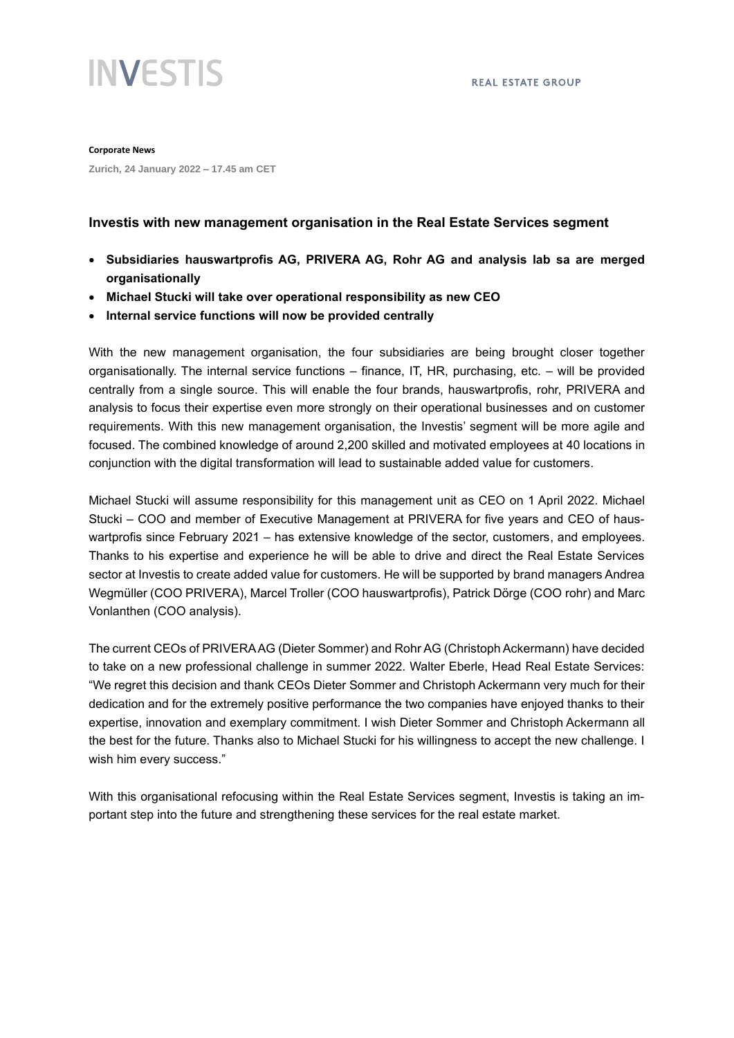

**Corporate News**

**Zurich, 24 January 2022 – 17.45 am CET**

## **Investis with new management organisation in the Real Estate Services segment**

- **Subsidiaries hauswartprofis AG, PRIVERA AG, Rohr AG and analysis lab sa are merged organisationally**
- **Michael Stucki will take over operational responsibility as new CEO**
- **Internal service functions will now be provided centrally**

With the new management organisation, the four subsidiaries are being brought closer together organisationally. The internal service functions – finance, IT, HR, purchasing, etc. – will be provided centrally from a single source. This will enable the four brands, hauswartprofis, rohr, PRIVERA and analysis to focus their expertise even more strongly on their operational businesses and on customer requirements. With this new management organisation, the Investis' segment will be more agile and focused. The combined knowledge of around 2,200 skilled and motivated employees at 40 locations in conjunction with the digital transformation will lead to sustainable added value for customers.

Michael Stucki will assume responsibility for this management unit as CEO on 1 April 2022. Michael Stucki – COO and member of Executive Management at PRIVERA for five years and CEO of hauswartprofis since February 2021 – has extensive knowledge of the sector, customers, and employees. Thanks to his expertise and experience he will be able to drive and direct the Real Estate Services sector at Investis to create added value for customers. He will be supported by brand managers Andrea Wegmüller (COO PRIVERA), Marcel Troller (COO hauswartprofis), Patrick Dörge (COO rohr) and Marc Vonlanthen (COO analysis).

The current CEOs of PRIVERA AG (Dieter Sommer) and Rohr AG (Christoph Ackermann) have decided to take on a new professional challenge in summer 2022. Walter Eberle, Head Real Estate Services: "We regret this decision and thank CEOs Dieter Sommer and Christoph Ackermann very much for their dedication and for the extremely positive performance the two companies have enjoyed thanks to their expertise, innovation and exemplary commitment. I wish Dieter Sommer and Christoph Ackermann all the best for the future. Thanks also to Michael Stucki for his willingness to accept the new challenge. I wish him every success."

With this organisational refocusing within the Real Estate Services segment, Investis is taking an important step into the future and strengthening these services for the real estate market.